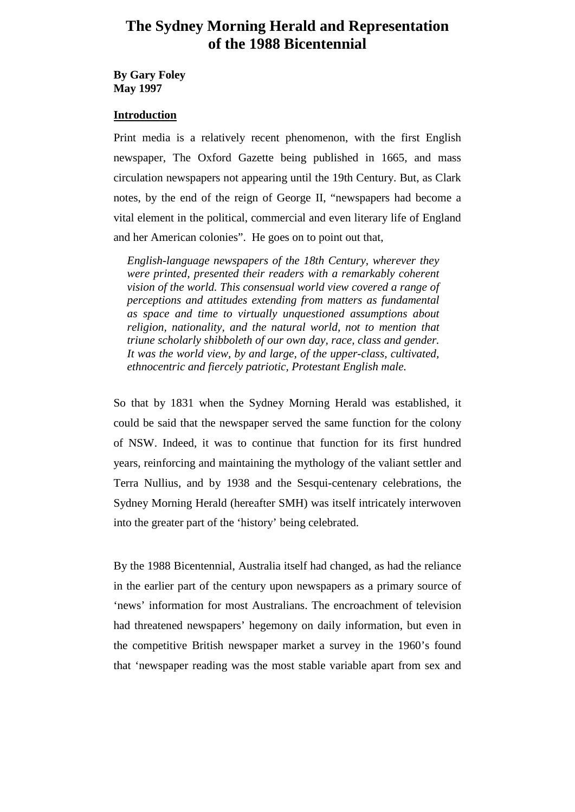# **The Sydney Morning Herald and Representation of the 1988 Bicentennial**

**By Gary Foley May 1997**

## **Introduction**

Print media is a relatively recent phenomenon, with the first English newspaper, The Oxford Gazette being published in 1665, and mass circulation newspapers not appearing until the 19th Century. But, as Clark notes, by the end of the reign of George II, "newspapers had become a vital element in the political, commercial and even literary life of England and her American colonies". He goes on to point out that,

*English-language newspapers of the 18th Century, wherever they were printed, presented their readers with a remarkably coherent vision of the world. This consensual world view covered a range of perceptions and attitudes extending from matters as fundamental as space and time to virtually unquestioned assumptions about religion, nationality, and the natural world, not to mention that triune scholarly shibboleth of our own day, race, class and gender. It was the world view, by and large, of the upper-class, cultivated, ethnocentric and fiercely patriotic, Protestant English male.*

So that by 1831 when the Sydney Morning Herald was established, it could be said that the newspaper served the same function for the colony of NSW. Indeed, it was to continue that function for its first hundred years, reinforcing and maintaining the mythology of the valiant settler and Terra Nullius, and by 1938 and the Sesqui-centenary celebrations, the Sydney Morning Herald (hereafter SMH) was itself intricately interwoven into the greater part of the 'history' being celebrated.

By the 1988 Bicentennial, Australia itself had changed, as had the reliance in the earlier part of the century upon newspapers as a primary source of 'news' information for most Australians. The encroachment of television had threatened newspapers' hegemony on daily information, but even in the competitive British newspaper market a survey in the 1960's found that 'newspaper reading was the most stable variable apart from sex and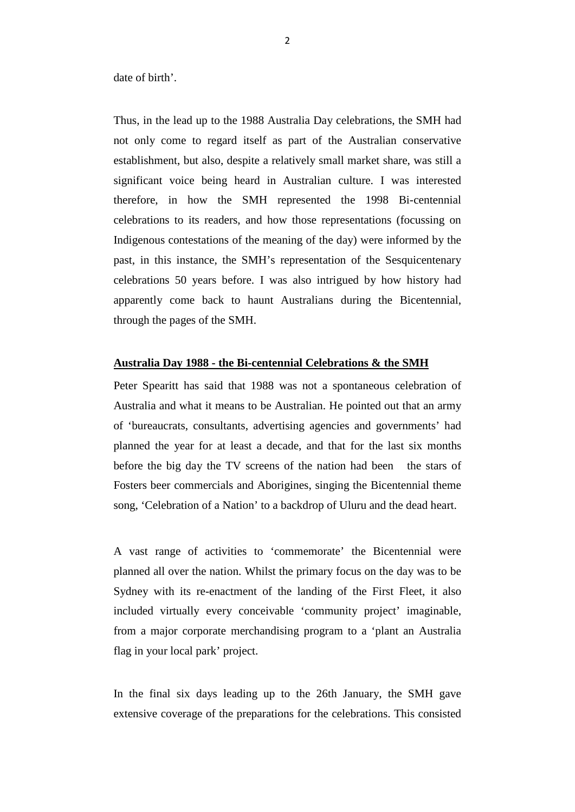date of birth'.

Thus, in the lead up to the 1988 Australia Day celebrations, the SMH had not only come to regard itself as part of the Australian conservative establishment, but also, despite a relatively small market share, was still a significant voice being heard in Australian culture. I was interested therefore, in how the SMH represented the 1998 Bi-centennial celebrations to its readers, and how those representations (focussing on Indigenous contestations of the meaning of the day) were informed by the past, in this instance, the SMH's representation of the Sesquicentenary celebrations 50 years before. I was also intrigued by how history had apparently come back to haunt Australians during the Bicentennial, through the pages of the SMH.

## **Australia Day 1988 - the Bi-centennial Celebrations & the SMH**

Peter Spearitt has said that 1988 was not a spontaneous celebration of Australia and what it means to be Australian. He pointed out that an army of 'bureaucrats, consultants, advertising agencies and governments' had planned the year for at least a decade, and that for the last six months before the big day the TV screens of the nation had been the stars of Fosters beer commercials and Aborigines, singing the Bicentennial theme song, 'Celebration of a Nation' to a backdrop of Uluru and the dead heart.

A vast range of activities to 'commemorate' the Bicentennial were planned all over the nation. Whilst the primary focus on the day was to be Sydney with its re-enactment of the landing of the First Fleet, it also included virtually every conceivable 'community project' imaginable, from a major corporate merchandising program to a 'plant an Australia flag in your local park' project.

In the final six days leading up to the 26th January, the SMH gave extensive coverage of the preparations for the celebrations. This consisted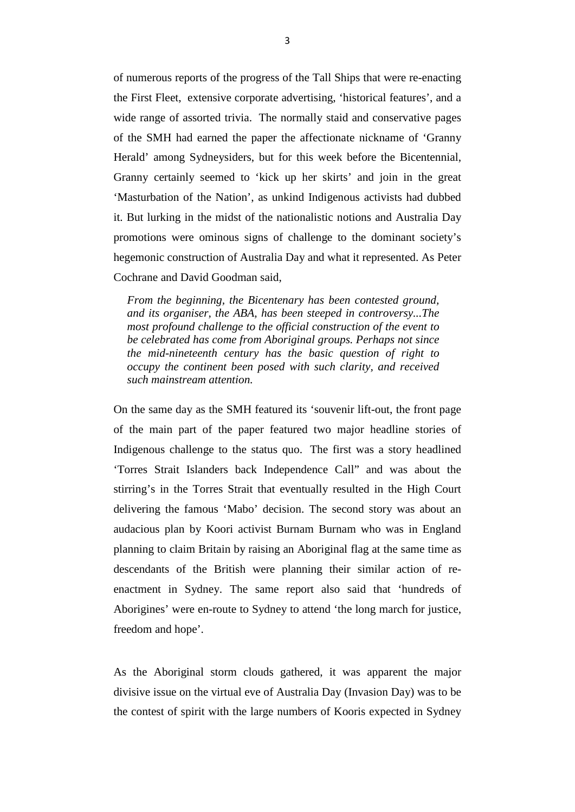of numerous reports of the progress of the Tall Ships that were re-enacting the First Fleet, extensive corporate advertising, 'historical features', and a wide range of assorted trivia. The normally staid and conservative pages of the SMH had earned the paper the affectionate nickname of 'Granny Herald' among Sydneysiders, but for this week before the Bicentennial, Granny certainly seemed to 'kick up her skirts' and join in the great 'Masturbation of the Nation', as unkind Indigenous activists had dubbed it. But lurking in the midst of the nationalistic notions and Australia Day promotions were ominous signs of challenge to the dominant society's hegemonic construction of Australia Day and what it represented. As Peter Cochrane and David Goodman said,

*From the beginning, the Bicentenary has been contested ground, and its organiser, the ABA, has been steeped in controversy...The most profound challenge to the official construction of the event to be celebrated has come from Aboriginal groups. Perhaps not since the mid-nineteenth century has the basic question of right to occupy the continent been posed with such clarity, and received such mainstream attention.*

On the same day as the SMH featured its 'souvenir lift-out, the front page of the main part of the paper featured two major headline stories of Indigenous challenge to the status quo. The first was a story headlined 'Torres Strait Islanders back Independence Call" and was about the stirring's in the Torres Strait that eventually resulted in the High Court delivering the famous 'Mabo' decision. The second story was about an audacious plan by Koori activist Burnam Burnam who was in England planning to claim Britain by raising an Aboriginal flag at the same time as descendants of the British were planning their similar action of reenactment in Sydney. The same report also said that 'hundreds of Aborigines' were en-route to Sydney to attend 'the long march for justice, freedom and hope'.

As the Aboriginal storm clouds gathered, it was apparent the major divisive issue on the virtual eve of Australia Day (Invasion Day) was to be the contest of spirit with the large numbers of Kooris expected in Sydney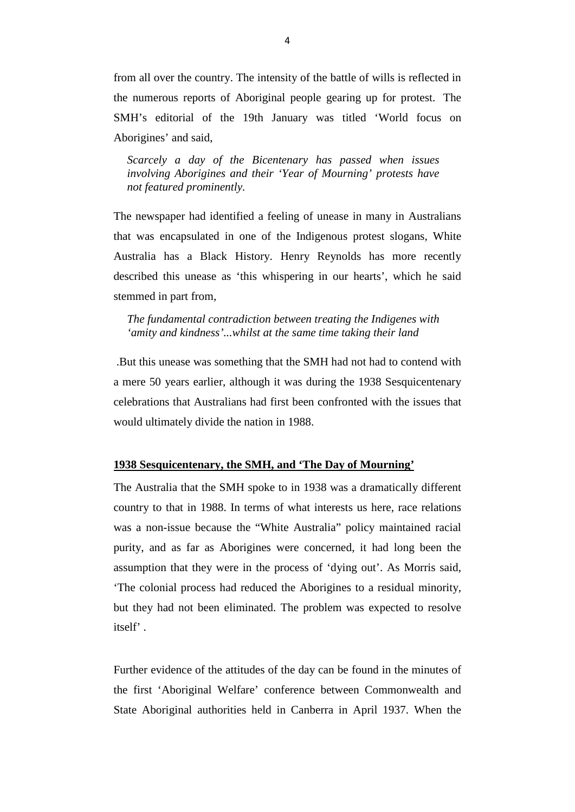from all over the country. The intensity of the battle of wills is reflected in the numerous reports of Aboriginal people gearing up for protest. The SMH's editorial of the 19th January was titled 'World focus on Aborigines' and said,

*Scarcely a day of the Bicentenary has passed when issues involving Aborigines and their 'Year of Mourning' protests have not featured prominently.*

The newspaper had identified a feeling of unease in many in Australians that was encapsulated in one of the Indigenous protest slogans, White Australia has a Black History. Henry Reynolds has more recently described this unease as 'this whispering in our hearts', which he said stemmed in part from,

*The fundamental contradiction between treating the Indigenes with 'amity and kindness'...whilst at the same time taking their land*

.But this unease was something that the SMH had not had to contend with a mere 50 years earlier, although it was during the 1938 Sesquicentenary celebrations that Australians had first been confronted with the issues that would ultimately divide the nation in 1988.

### **1938 Sesquicentenary, the SMH, and 'The Day of Mourning'**

The Australia that the SMH spoke to in 1938 was a dramatically different country to that in 1988. In terms of what interests us here, race relations was a non-issue because the "White Australia" policy maintained racial purity, and as far as Aborigines were concerned, it had long been the assumption that they were in the process of 'dying out'. As Morris said, 'The colonial process had reduced the Aborigines to a residual minority, but they had not been eliminated. The problem was expected to resolve itself' .

Further evidence of the attitudes of the day can be found in the minutes of the first 'Aboriginal Welfare' conference between Commonwealth and State Aboriginal authorities held in Canberra in April 1937. When the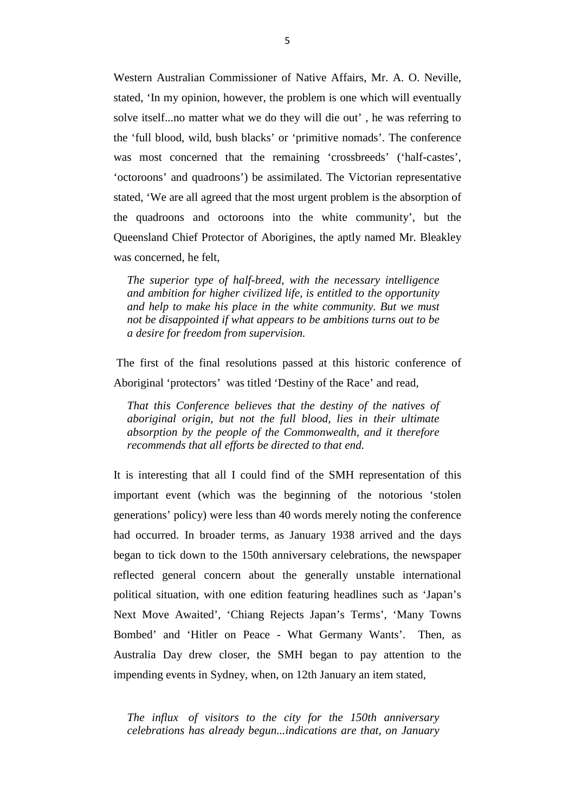Western Australian Commissioner of Native Affairs, Mr. A. O. Neville, stated, 'In my opinion, however, the problem is one which will eventually solve itself...no matter what we do they will die out' , he was referring to the 'full blood, wild, bush blacks' or 'primitive nomads'. The conference was most concerned that the remaining 'crossbreeds' ('half-castes', 'octoroons' and quadroons') be assimilated. The Victorian representative stated, 'We are all agreed that the most urgent problem is the absorption of the quadroons and octoroons into the white community', but the Queensland Chief Protector of Aborigines, the aptly named Mr. Bleakley was concerned, he felt,

*The superior type of half-breed, with the necessary intelligence and ambition for higher civilized life, is entitled to the opportunity and help to make his place in the white community. But we must not be disappointed if what appears to be ambitions turns out to be a desire for freedom from supervision.*

The first of the final resolutions passed at this historic conference of Aboriginal 'protectors' was titled 'Destiny of the Race' and read,

*That this Conference believes that the destiny of the natives of aboriginal origin, but not the full blood, lies in their ultimate absorption by the people of the Commonwealth, and it therefore recommends that all efforts be directed to that end.*

It is interesting that all I could find of the SMH representation of this important event (which was the beginning of the notorious 'stolen generations' policy) were less than 40 words merely noting the conference had occurred. In broader terms, as January 1938 arrived and the days began to tick down to the 150th anniversary celebrations, the newspaper reflected general concern about the generally unstable international political situation, with one edition featuring headlines such as 'Japan's Next Move Awaited', 'Chiang Rejects Japan's Terms', 'Many Towns Bombed' and 'Hitler on Peace - What Germany Wants'. Then, as Australia Day drew closer, the SMH began to pay attention to the impending events in Sydney, when, on 12th January an item stated,

*The influx of visitors to the city for the 150th anniversary celebrations has already begun...indications are that, on January*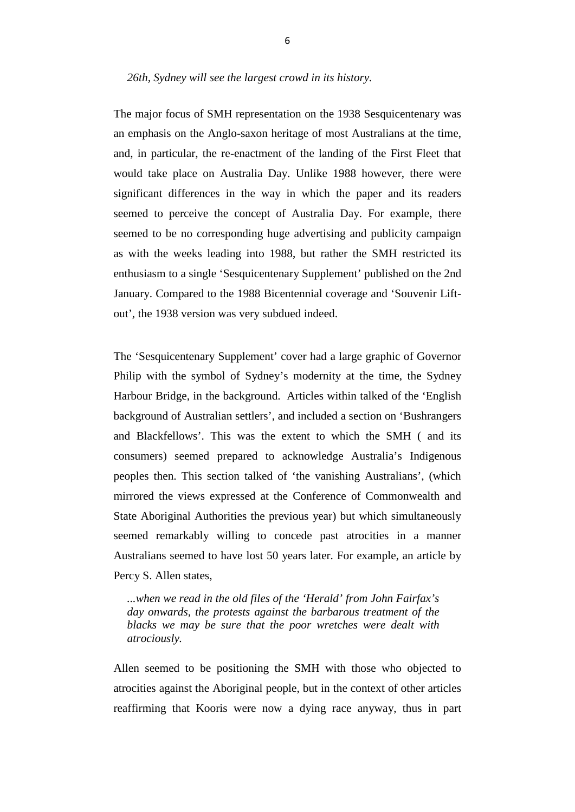The major focus of SMH representation on the 1938 Sesquicentenary was an emphasis on the Anglo-saxon heritage of most Australians at the time, and, in particular, the re-enactment of the landing of the First Fleet that would take place on Australia Day. Unlike 1988 however, there were significant differences in the way in which the paper and its readers seemed to perceive the concept of Australia Day. For example, there seemed to be no corresponding huge advertising and publicity campaign as with the weeks leading into 1988, but rather the SMH restricted its enthusiasm to a single 'Sesquicentenary Supplement' published on the 2nd January. Compared to the 1988 Bicentennial coverage and 'Souvenir Liftout', the 1938 version was very subdued indeed.

The 'Sesquicentenary Supplement' cover had a large graphic of Governor Philip with the symbol of Sydney's modernity at the time, the Sydney Harbour Bridge, in the background. Articles within talked of the 'English background of Australian settlers', and included a section on 'Bushrangers and Blackfellows'. This was the extent to which the SMH ( and its consumers) seemed prepared to acknowledge Australia's Indigenous peoples then. This section talked of 'the vanishing Australians', (which mirrored the views expressed at the Conference of Commonwealth and State Aboriginal Authorities the previous year) but which simultaneously seemed remarkably willing to concede past atrocities in a manner Australians seemed to have lost 50 years later. For example, an article by Percy S. Allen states,

*...when we read in the old files of the 'Herald' from John Fairfax's day onwards, the protests against the barbarous treatment of the blacks we may be sure that the poor wretches were dealt with atrociously.*

Allen seemed to be positioning the SMH with those who objected to atrocities against the Aboriginal people, but in the context of other articles reaffirming that Kooris were now a dying race anyway, thus in part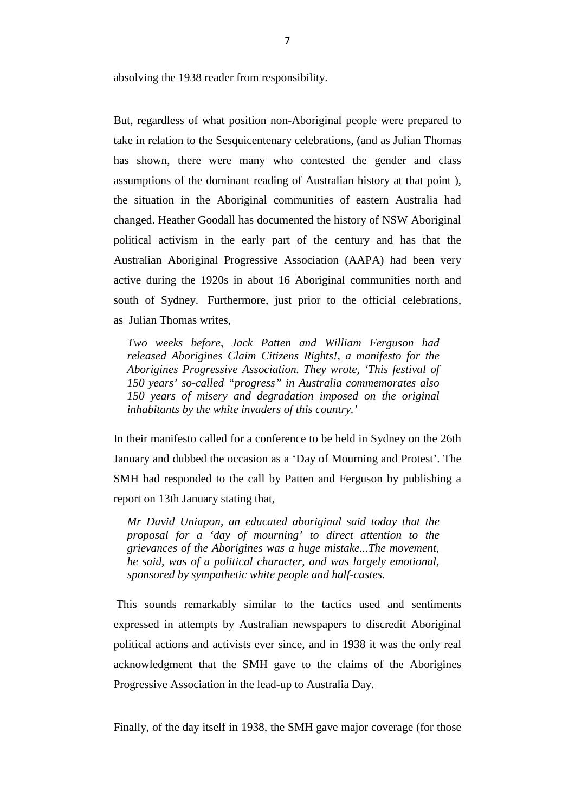absolving the 1938 reader from responsibility.

But, regardless of what position non-Aboriginal people were prepared to take in relation to the Sesquicentenary celebrations, (and as Julian Thomas has shown, there were many who contested the gender and class assumptions of the dominant reading of Australian history at that point ), the situation in the Aboriginal communities of eastern Australia had changed. Heather Goodall has documented the history of NSW Aboriginal political activism in the early part of the century and has that the Australian Aboriginal Progressive Association (AAPA) had been very active during the 1920s in about 16 Aboriginal communities north and south of Sydney. Furthermore, just prior to the official celebrations, as Julian Thomas writes,

*Two weeks before, Jack Patten and William Ferguson had released Aborigines Claim Citizens Rights!, a manifesto for the Aborigines Progressive Association. They wrote, 'This festival of 150 years' so-called "progress" in Australia commemorates also 150 years of misery and degradation imposed on the original inhabitants by the white invaders of this country.'*

In their manifesto called for a conference to be held in Sydney on the 26th January and dubbed the occasion as a 'Day of Mourning and Protest'. The SMH had responded to the call by Patten and Ferguson by publishing a report on 13th January stating that,

*Mr David Uniapon, an educated aboriginal said today that the proposal for a 'day of mourning' to direct attention to the grievances of the Aborigines was a huge mistake...The movement, he said, was of a political character, and was largely emotional, sponsored by sympathetic white people and half-castes.*

This sounds remarkably similar to the tactics used and sentiments expressed in attempts by Australian newspapers to discredit Aboriginal political actions and activists ever since, and in 1938 it was the only real acknowledgment that the SMH gave to the claims of the Aborigines Progressive Association in the lead-up to Australia Day.

Finally, of the day itself in 1938, the SMH gave major coverage (for those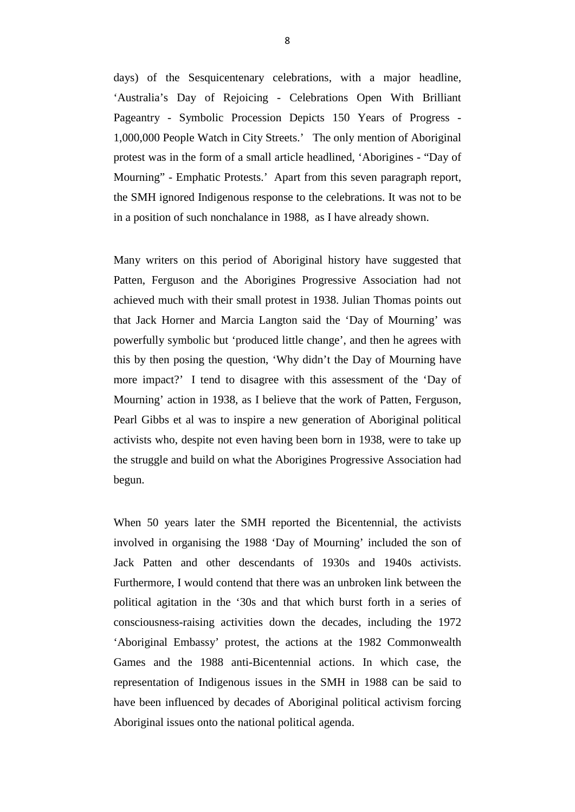days) of the Sesquicentenary celebrations, with a major headline, 'Australia's Day of Rejoicing - Celebrations Open With Brilliant Pageantry - Symbolic Procession Depicts 150 Years of Progress - 1,000,000 People Watch in City Streets.' The only mention of Aboriginal protest was in the form of a small article headlined, 'Aborigines - "Day of Mourning" - Emphatic Protests.' Apart from this seven paragraph report, the SMH ignored Indigenous response to the celebrations. It was not to be in a position of such nonchalance in 1988, as I have already shown.

Many writers on this period of Aboriginal history have suggested that Patten, Ferguson and the Aborigines Progressive Association had not achieved much with their small protest in 1938. Julian Thomas points out that Jack Horner and Marcia Langton said the 'Day of Mourning' was powerfully symbolic but 'produced little change', and then he agrees with this by then posing the question, 'Why didn't the Day of Mourning have more impact?' I tend to disagree with this assessment of the 'Day of Mourning' action in 1938, as I believe that the work of Patten, Ferguson, Pearl Gibbs et al was to inspire a new generation of Aboriginal political activists who, despite not even having been born in 1938, were to take up the struggle and build on what the Aborigines Progressive Association had begun.

When 50 years later the SMH reported the Bicentennial, the activists involved in organising the 1988 'Day of Mourning' included the son of Jack Patten and other descendants of 1930s and 1940s activists. Furthermore, I would contend that there was an unbroken link between the political agitation in the '30s and that which burst forth in a series of consciousness-raising activities down the decades, including the 1972 'Aboriginal Embassy' protest, the actions at the 1982 Commonwealth Games and the 1988 anti-Bicentennial actions. In which case, the representation of Indigenous issues in the SMH in 1988 can be said to have been influenced by decades of Aboriginal political activism forcing Aboriginal issues onto the national political agenda.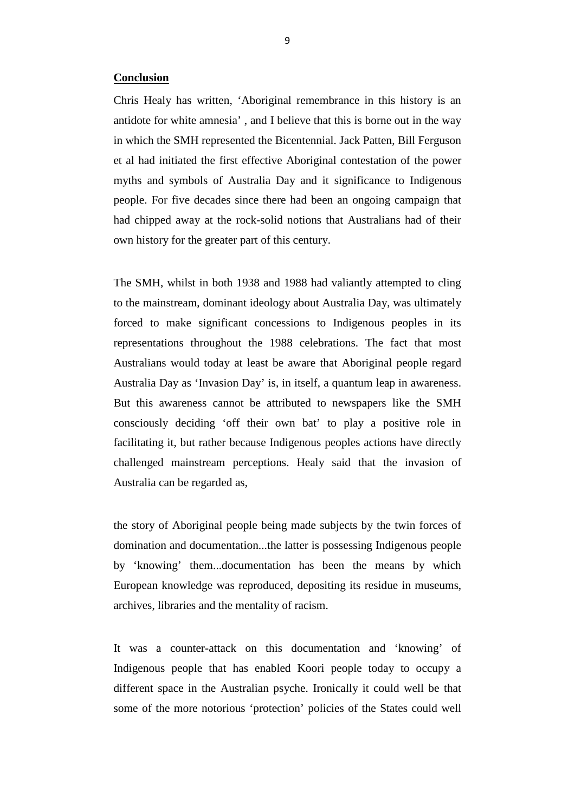#### **Conclusion**

Chris Healy has written, 'Aboriginal remembrance in this history is an antidote for white amnesia' , and I believe that this is borne out in the way in which the SMH represented the Bicentennial. Jack Patten, Bill Ferguson et al had initiated the first effective Aboriginal contestation of the power myths and symbols of Australia Day and it significance to Indigenous people. For five decades since there had been an ongoing campaign that had chipped away at the rock-solid notions that Australians had of their own history for the greater part of this century.

The SMH, whilst in both 1938 and 1988 had valiantly attempted to cling to the mainstream, dominant ideology about Australia Day, was ultimately forced to make significant concessions to Indigenous peoples in its representations throughout the 1988 celebrations. The fact that most Australians would today at least be aware that Aboriginal people regard Australia Day as 'Invasion Day' is, in itself, a quantum leap in awareness. But this awareness cannot be attributed to newspapers like the SMH consciously deciding 'off their own bat' to play a positive role in facilitating it, but rather because Indigenous peoples actions have directly challenged mainstream perceptions. Healy said that the invasion of Australia can be regarded as,

the story of Aboriginal people being made subjects by the twin forces of domination and documentation...the latter is possessing Indigenous people by 'knowing' them...documentation has been the means by which European knowledge was reproduced, depositing its residue in museums, archives, libraries and the mentality of racism.

It was a counter-attack on this documentation and 'knowing' of Indigenous people that has enabled Koori people today to occupy a different space in the Australian psyche. Ironically it could well be that some of the more notorious 'protection' policies of the States could well